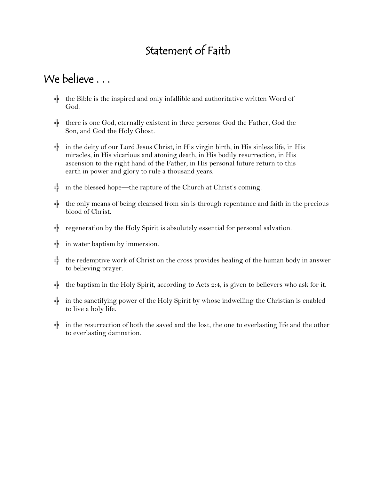# Statement of Faith

## We believe . . .

- $\frac{1}{\tau}$  the Bible is the inspired and only infallible and authoritative written Word of God.
- $\frac{1}{\tau}$  there is one God, eternally existent in three persons: God the Father, God the Son, and God the Holy Ghost.
- $\frac{1}{k}$  in the deity of our Lord Jesus Christ, in His virgin birth, in His sinless life, in His miracles, in His vicarious and atoning death, in His bodily resurrection, in His ascension to the right hand of the Father, in His personal future return to this earth in power and glory to rule a thousand years.
- $\frac{1}{\tau}$  in the blessed hope—the rapture of the Church at Christ's coming.
- $\frac{1}{\tau}$  the only means of being cleansed from sin is through repentance and faith in the precious blood of Christ.
- $\frac{1}{k}$  regeneration by the Holy Spirit is absolutely essential for personal salvation.
- $\frac{1}{\pi}$  in water baptism by immersion.
- ╬ the redemptive work of Christ on the cross provides healing of the human body in answer to believing prayer.
- $\frac{1}{k}$  the baptism in the Holy Spirit, according to Acts 2:4, is given to believers who ask for it.
- ╬ in the sanctifying power of the Holy Spirit by whose indwelling the Christian is enabled to live a holy life.
- $\frac{1}{k}$  in the resurrection of both the saved and the lost, the one to everlasting life and the other to everlasting damnation.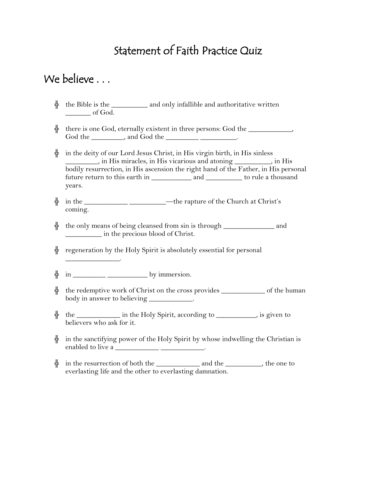## Statement of Faith Practice Quiz

#### We believe . . .

- ╬ the Bible is the \_\_\_\_\_\_\_\_\_\_ and only infallible and authoritative written \_\_\_\_\_\_\_ of God.
- $\frac{1}{T}$  there is one God, eternally existent in three persons: God the \_\_\_\_\_\_\_\_\_\_, God the \_\_\_\_\_\_\_\_\_, and God the \_\_\_\_\_\_\_\_\_\_\_\_\_\_\_\_\_\_.
- $\frac{1}{\tau}$  in the deity of our Lord Jesus Christ, in His virgin birth, in His sinless \_\_\_\_\_\_\_\_\_, in His miracles, in His vicarious and atoning \_\_\_\_\_\_\_\_\_\_, in His bodily resurrection, in His ascension the right hand of the Father, in His personal future return to this earth in \_\_\_\_\_\_\_\_\_\_\_\_\_\_ and \_\_\_\_\_\_\_\_\_\_\_ to rule a thousand years.
- ╬ in the \_\_\_\_\_\_\_\_\_\_\_\_ \_\_\_\_\_\_\_\_\_\_—the rapture of the Church at Christ's coming.
- ╬ the only means of being cleansed from sin is through \_\_\_\_\_\_\_\_\_\_\_\_\_\_ and \_\_\_\_\_\_\_\_\_\_ in the precious blood of Christ.
- $\frac{1}{\tau}$  regeneration by the Holy Spirit is absolutely essential for personal
- ╬ in \_\_\_\_\_\_\_\_\_ \_\_\_\_\_\_\_\_\_\_\_ by immersion.

 $\overline{\phantom{a}}$  .

- $\frac{1}{2}$  the redemptive work of Christ on the cross provides \_\_\_\_\_\_\_\_\_\_\_\_\_\_ of the human body in answer to believing \_\_\_\_\_\_\_\_\_\_\_\_.
- $\frac{1}{T}$  the \_\_\_\_\_\_\_\_\_\_\_\_\_ in the Holy Spirit, according to \_\_\_\_\_\_\_\_\_, is given to believers who ask for it.
- ╬ in the sanctifying power of the Holy Spirit by whose indwelling the Christian is enabled to live a \_\_\_\_\_\_\_\_\_\_\_\_\_\_\_\_\_\_\_\_\_\_\_\_\_\_\_\_\_.
- $\frac{1}{2}$  in the resurrection of both the \_\_\_\_\_\_\_\_\_\_\_\_\_\_ and the \_\_\_\_\_\_\_\_\_, the one to everlasting life and the other to everlasting damnation.